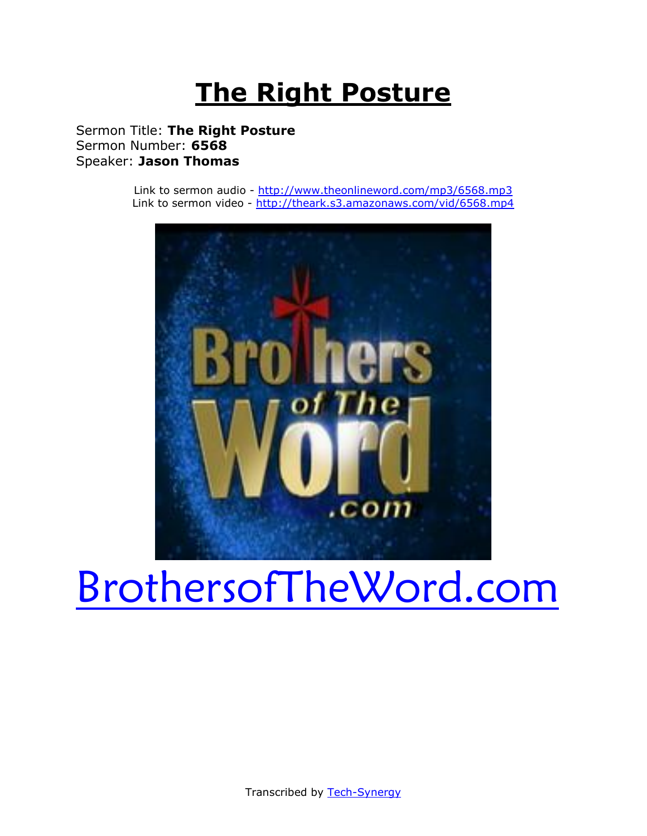# **The Right Posture**

Sermon Title: **The Right Posture** Sermon Number: **6568** Speaker: **Jason Thomas**

> Link to sermon audio - <http://www.theonlineword.com/mp3/6568.mp3> Link to sermon video - <http://theark.s3.amazonaws.com/vid/6568.mp4>



# [BrothersofTheWord.com](http://www.brothersoftheword.com/)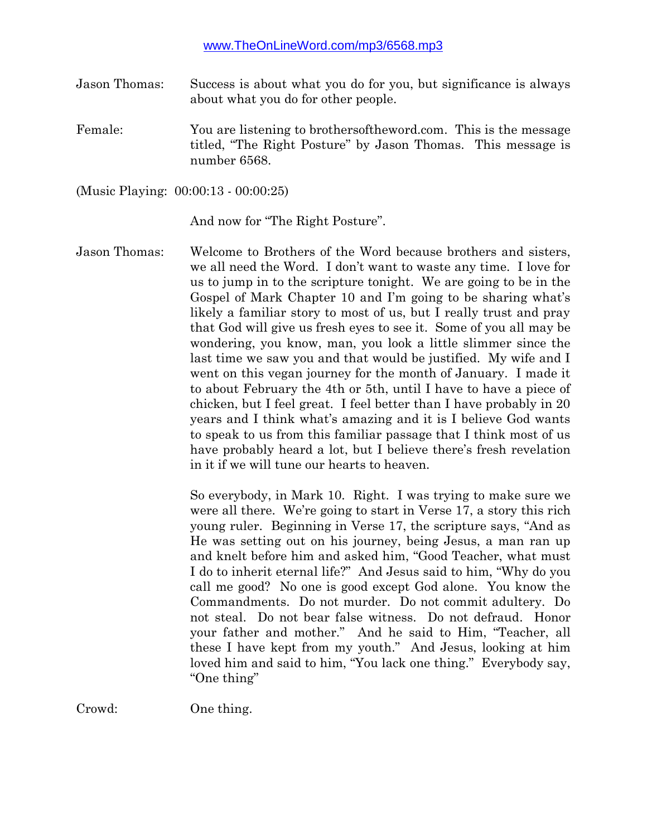Jason Thomas: Success is about what you do for you, but significance is always about what you do for other people.

Female: You are listening to brothersoftheword.com. This is the message titled, "The Right Posture" by Jason Thomas. This message is number 6568.

(Music Playing: 00:00:13 - 00:00:25)

And now for "The Right Posture".

Jason Thomas: Welcome to Brothers of the Word because brothers and sisters, we all need the Word. I don't want to waste any time. I love for us to jump in to the scripture tonight. We are going to be in the Gospel of Mark Chapter 10 and I'm going to be sharing what's likely a familiar story to most of us, but I really trust and pray that God will give us fresh eyes to see it. Some of you all may be wondering, you know, man, you look a little slimmer since the last time we saw you and that would be justified. My wife and I went on this vegan journey for the month of January. I made it to about February the 4th or 5th, until I have to have a piece of chicken, but I feel great. I feel better than I have probably in 20 years and I think what's amazing and it is I believe God wants to speak to us from this familiar passage that I think most of us have probably heard a lot, but I believe there's fresh revelation in it if we will tune our hearts to heaven.

> So everybody, in Mark 10. Right. I was trying to make sure we were all there. We're going to start in Verse 17, a story this rich young ruler. Beginning in Verse 17, the scripture says, "And as He was setting out on his journey, being Jesus, a man ran up and knelt before him and asked him, "Good Teacher, what must I do to inherit eternal life?" And Jesus said to him, "Why do you call me good? No one is good except God alone. You know the Commandments. Do not murder. Do not commit adultery. Do not steal. Do not bear false witness. Do not defraud. Honor your father and mother." And he said to Him, "Teacher, all these I have kept from my youth." And Jesus, looking at him loved him and said to him, "You lack one thing." Everybody say, "One thing"

Crowd: One thing.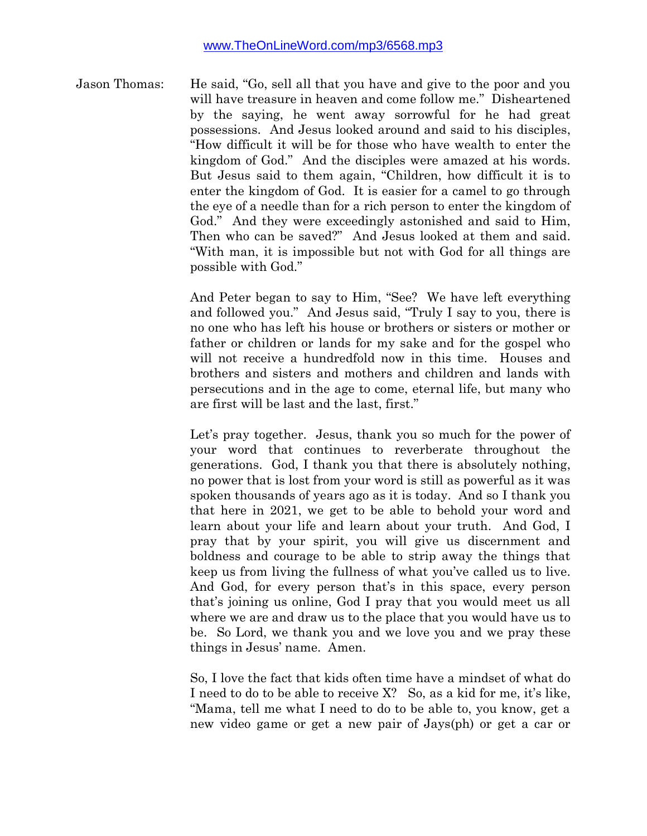Jason Thomas: He said, "Go, sell all that you have and give to the poor and you will have treasure in heaven and come follow me." Disheartened by the saying, he went away sorrowful for he had great possessions. And Jesus looked around and said to his disciples, "How difficult it will be for those who have wealth to enter the kingdom of God." And the disciples were amazed at his words. But Jesus said to them again, "Children, how difficult it is to enter the kingdom of God. It is easier for a camel to go through the eye of a needle than for a rich person to enter the kingdom of God." And they were exceedingly astonished and said to Him, Then who can be saved?" And Jesus looked at them and said. "With man, it is impossible but not with God for all things are possible with God."

> And Peter began to say to Him, "See? We have left everything and followed you." And Jesus said, "Truly I say to you, there is no one who has left his house or brothers or sisters or mother or father or children or lands for my sake and for the gospel who will not receive a hundredfold now in this time. Houses and brothers and sisters and mothers and children and lands with persecutions and in the age to come, eternal life, but many who are first will be last and the last, first."

> Let's pray together. Jesus, thank you so much for the power of your word that continues to reverberate throughout the generations. God, I thank you that there is absolutely nothing, no power that is lost from your word is still as powerful as it was spoken thousands of years ago as it is today. And so I thank you that here in 2021, we get to be able to behold your word and learn about your life and learn about your truth. And God, I pray that by your spirit, you will give us discernment and boldness and courage to be able to strip away the things that keep us from living the fullness of what you've called us to live. And God, for every person that's in this space, every person that's joining us online, God I pray that you would meet us all where we are and draw us to the place that you would have us to be. So Lord, we thank you and we love you and we pray these things in Jesus' name. Amen.

> So, I love the fact that kids often time have a mindset of what do I need to do to be able to receive X? So, as a kid for me, it's like, "Mama, tell me what I need to do to be able to, you know, get a new video game or get a new pair of Jays(ph) or get a car or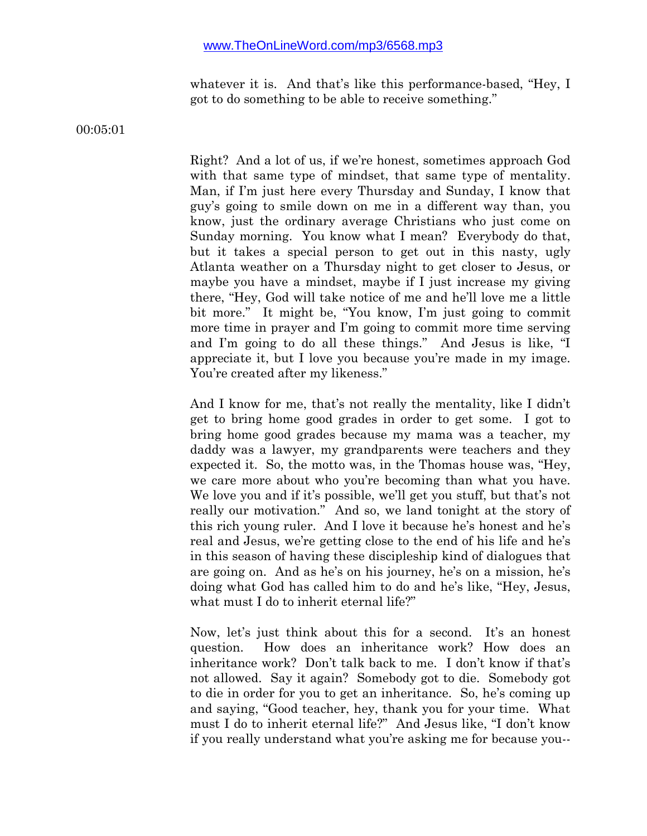whatever it is. And that's like this performance-based, "Hey, I got to do something to be able to receive something."

00:05:01

Right? And a lot of us, if we're honest, sometimes approach God with that same type of mindset, that same type of mentality. Man, if I'm just here every Thursday and Sunday, I know that guy's going to smile down on me in a different way than, you know, just the ordinary average Christians who just come on Sunday morning. You know what I mean? Everybody do that, but it takes a special person to get out in this nasty, ugly Atlanta weather on a Thursday night to get closer to Jesus, or maybe you have a mindset, maybe if I just increase my giving there, "Hey, God will take notice of me and he'll love me a little bit more." It might be, "You know, I'm just going to commit more time in prayer and I'm going to commit more time serving and I'm going to do all these things." And Jesus is like, "I appreciate it, but I love you because you're made in my image. You're created after my likeness."

And I know for me, that's not really the mentality, like I didn't get to bring home good grades in order to get some. I got to bring home good grades because my mama was a teacher, my daddy was a lawyer, my grandparents were teachers and they expected it. So, the motto was, in the Thomas house was, "Hey, we care more about who you're becoming than what you have. We love you and if it's possible, we'll get you stuff, but that's not really our motivation." And so, we land tonight at the story of this rich young ruler. And I love it because he's honest and he's real and Jesus, we're getting close to the end of his life and he's in this season of having these discipleship kind of dialogues that are going on. And as he's on his journey, he's on a mission, he's doing what God has called him to do and he's like, "Hey, Jesus, what must I do to inherit eternal life?"

Now, let's just think about this for a second. It's an honest question. How does an inheritance work? How does an inheritance work? Don't talk back to me. I don't know if that's not allowed. Say it again? Somebody got to die. Somebody got to die in order for you to get an inheritance. So, he's coming up and saying, "Good teacher, hey, thank you for your time. What must I do to inherit eternal life?" And Jesus like, "I don't know if you really understand what you're asking me for because you--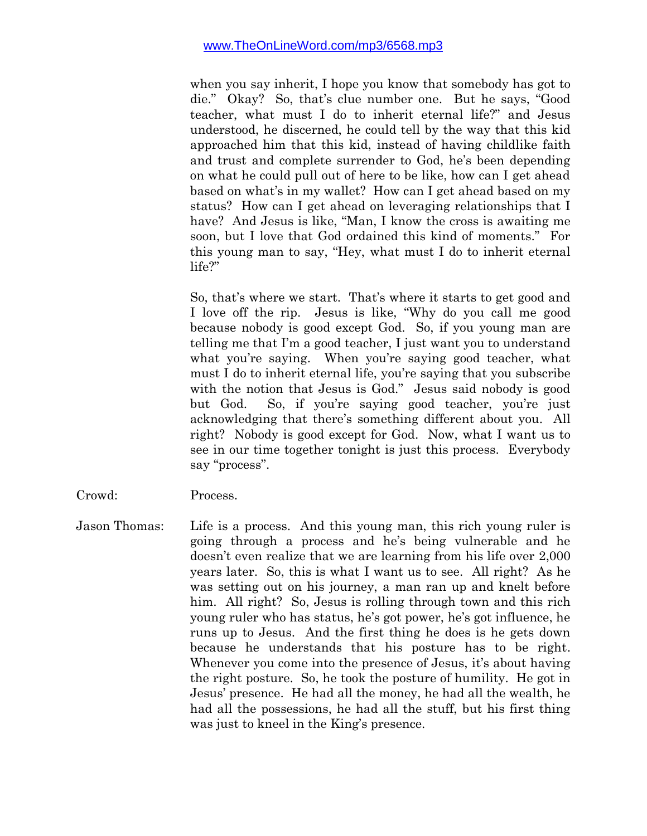when you say inherit, I hope you know that somebody has got to die." Okay? So, that's clue number one. But he says, "Good teacher, what must I do to inherit eternal life?" and Jesus understood, he discerned, he could tell by the way that this kid approached him that this kid, instead of having childlike faith and trust and complete surrender to God, he's been depending on what he could pull out of here to be like, how can I get ahead based on what's in my wallet? How can I get ahead based on my status? How can I get ahead on leveraging relationships that I have? And Jesus is like, "Man, I know the cross is awaiting me soon, but I love that God ordained this kind of moments." For this young man to say, "Hey, what must I do to inherit eternal life?"

So, that's where we start. That's where it starts to get good and I love off the rip. Jesus is like, "Why do you call me good because nobody is good except God. So, if you young man are telling me that I'm a good teacher, I just want you to understand what you're saying. When you're saying good teacher, what must I do to inherit eternal life, you're saying that you subscribe with the notion that Jesus is God." Jesus said nobody is good but God. So, if you're saying good teacher, you're just acknowledging that there's something different about you. All right? Nobody is good except for God. Now, what I want us to see in our time together tonight is just this process. Everybody say "process".

- Crowd: Process.
- Jason Thomas: Life is a process. And this young man, this rich young ruler is going through a process and he's being vulnerable and he doesn't even realize that we are learning from his life over 2,000 years later. So, this is what I want us to see. All right? As he was setting out on his journey, a man ran up and knelt before him. All right? So, Jesus is rolling through town and this rich young ruler who has status, he's got power, he's got influence, he runs up to Jesus. And the first thing he does is he gets down because he understands that his posture has to be right. Whenever you come into the presence of Jesus, it's about having the right posture. So, he took the posture of humility. He got in Jesus' presence. He had all the money, he had all the wealth, he had all the possessions, he had all the stuff, but his first thing was just to kneel in the King's presence.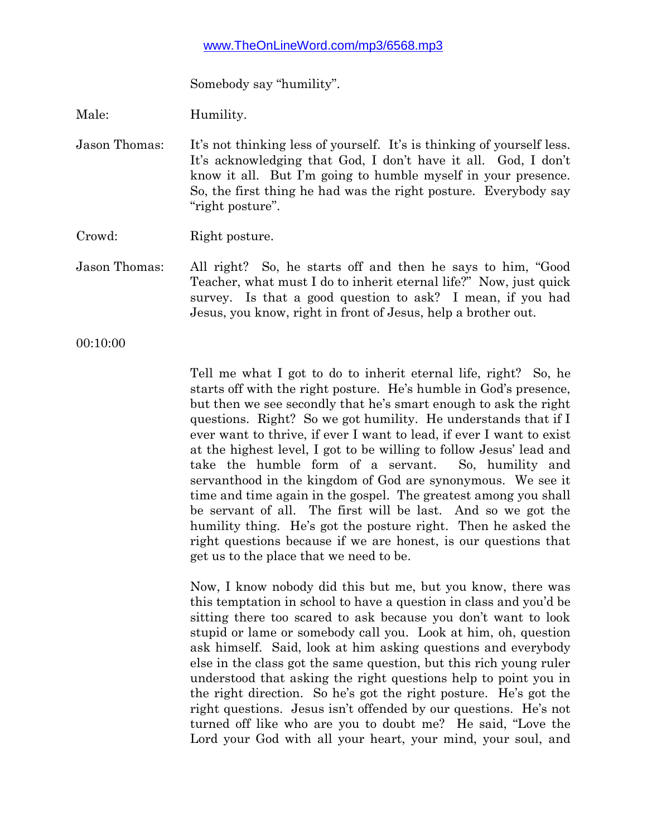Somebody say "humility".

Male: Humility.

Jason Thomas: It's not thinking less of yourself. It's is thinking of yourself less. It's acknowledging that God, I don't have it all. God, I don't know it all. But I'm going to humble myself in your presence. So, the first thing he had was the right posture. Everybody say "right posture".

Crowd: Right posture.

Jason Thomas: All right? So, he starts off and then he says to him, "Good Teacher, what must I do to inherit eternal life?" Now, just quick survey. Is that a good question to ask? I mean, if you had Jesus, you know, right in front of Jesus, help a brother out.

00:10:00

Tell me what I got to do to inherit eternal life, right? So, he starts off with the right posture. He's humble in God's presence, but then we see secondly that he's smart enough to ask the right questions. Right? So we got humility. He understands that if I ever want to thrive, if ever I want to lead, if ever I want to exist at the highest level, I got to be willing to follow Jesus' lead and take the humble form of a servant. So, humility and servanthood in the kingdom of God are synonymous. We see it time and time again in the gospel. The greatest among you shall be servant of all. The first will be last. And so we got the humility thing. He's got the posture right. Then he asked the right questions because if we are honest, is our questions that get us to the place that we need to be.

Now, I know nobody did this but me, but you know, there was this temptation in school to have a question in class and you'd be sitting there too scared to ask because you don't want to look stupid or lame or somebody call you. Look at him, oh, question ask himself. Said, look at him asking questions and everybody else in the class got the same question, but this rich young ruler understood that asking the right questions help to point you in the right direction. So he's got the right posture. He's got the right questions. Jesus isn't offended by our questions. He's not turned off like who are you to doubt me? He said, "Love the Lord your God with all your heart, your mind, your soul, and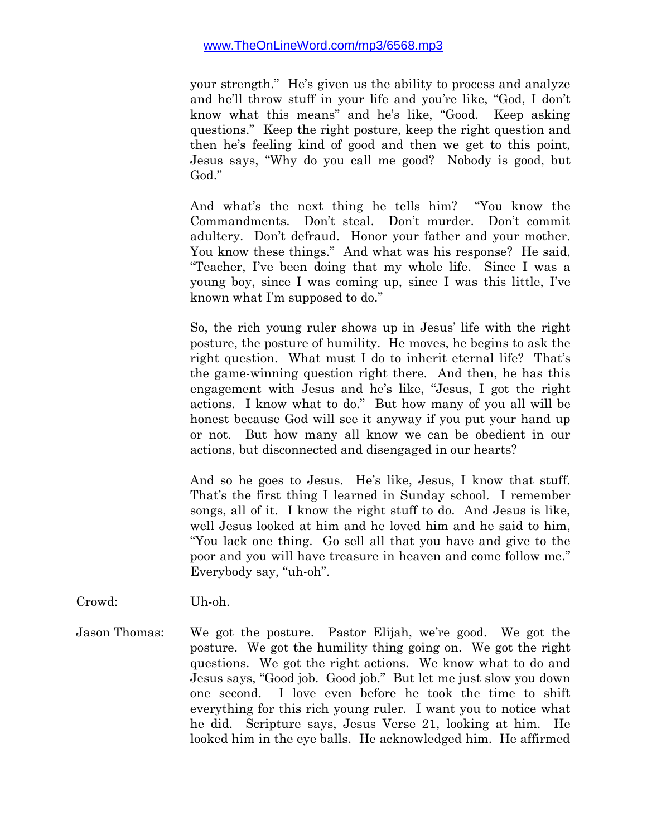your strength." He's given us the ability to process and analyze and he'll throw stuff in your life and you're like, "God, I don't know what this means" and he's like, "Good. Keep asking questions." Keep the right posture, keep the right question and then he's feeling kind of good and then we get to this point, Jesus says, "Why do you call me good? Nobody is good, but God."

And what's the next thing he tells him? "You know the Commandments. Don't steal. Don't murder. Don't commit adultery. Don't defraud. Honor your father and your mother. You know these things." And what was his response? He said, "Teacher, I've been doing that my whole life. Since I was a young boy, since I was coming up, since I was this little, I've known what I'm supposed to do."

So, the rich young ruler shows up in Jesus' life with the right posture, the posture of humility. He moves, he begins to ask the right question. What must I do to inherit eternal life? That's the game-winning question right there. And then, he has this engagement with Jesus and he's like, "Jesus, I got the right actions. I know what to do." But how many of you all will be honest because God will see it anyway if you put your hand up or not. But how many all know we can be obedient in our actions, but disconnected and disengaged in our hearts?

And so he goes to Jesus. He's like, Jesus, I know that stuff. That's the first thing I learned in Sunday school. I remember songs, all of it. I know the right stuff to do. And Jesus is like, well Jesus looked at him and he loved him and he said to him, "You lack one thing. Go sell all that you have and give to the poor and you will have treasure in heaven and come follow me." Everybody say, "uh-oh".

Crowd: Uh-oh.

Jason Thomas: We got the posture. Pastor Elijah, we're good. We got the posture. We got the humility thing going on. We got the right questions. We got the right actions. We know what to do and Jesus says, "Good job. Good job." But let me just slow you down one second. I love even before he took the time to shift everything for this rich young ruler. I want you to notice what he did. Scripture says, Jesus Verse 21, looking at him. He looked him in the eye balls. He acknowledged him. He affirmed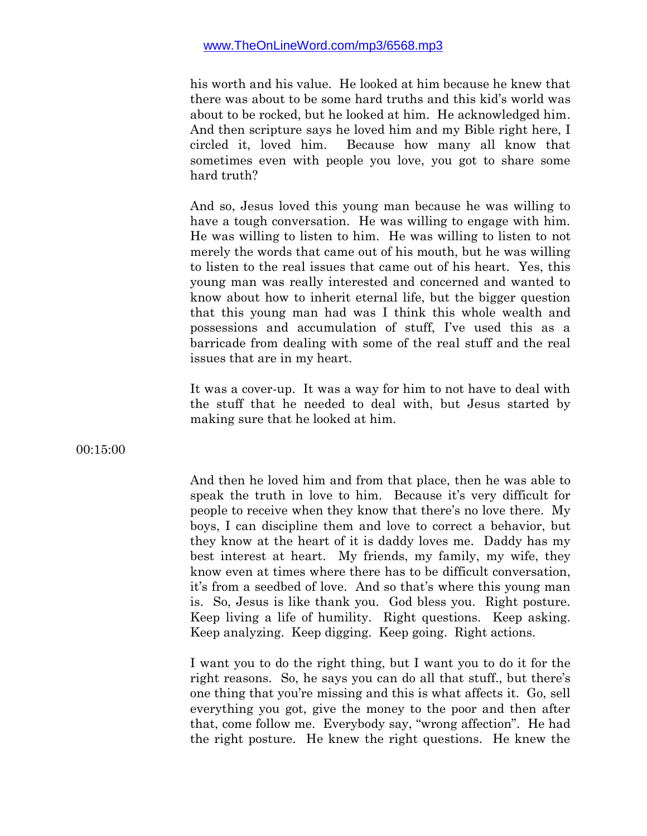his worth and his value. He looked at him because he knew that there was about to be some hard truths and this kid's world was about to be rocked, but he looked at him. He acknowledged him. And then scripture says he loved him and my Bible right here, I circled it, loved him. Because how many all know that sometimes even with people you love, you got to share some hard truth?

And so, Jesus loved this young man because he was willing to have a tough conversation. He was willing to engage with him. He was willing to listen to him. He was willing to listen to not merely the words that came out of his mouth, but he was willing to listen to the real issues that came out of his heart. Yes, this young man was really interested and concerned and wanted to know about how to inherit eternal life, but the bigger question that this young man had was I think this whole wealth and possessions and accumulation of stuff, I've used this as a barricade from dealing with some of the real stuff and the real issues that are in my heart.

It was a cover-up. It was a way for him to not have to deal with the stuff that he needed to deal with, but Jesus started by making sure that he looked at him.

00:15:00

And then he loved him and from that place, then he was able to speak the truth in love to him. Because it's very difficult for people to receive when they know that there's no love there. My boys, I can discipline them and love to correct a behavior, but they know at the heart of it is daddy loves me. Daddy has my best interest at heart. My friends, my family, my wife, they know even at times where there has to be difficult conversation, it's from a seedbed of love. And so that's where this young man is. So, Jesus is like thank you. God bless you. Right posture. Keep living a life of humility. Right questions. Keep asking. Keep analyzing. Keep digging. Keep going. Right actions.

I want you to do the right thing, but I want you to do it for the right reasons. So, he says you can do all that stuff., but there's one thing that you're missing and this is what affects it. Go, sell everything you got, give the money to the poor and then after that, come follow me. Everybody say, "wrong affection". He had the right posture. He knew the right questions. He knew the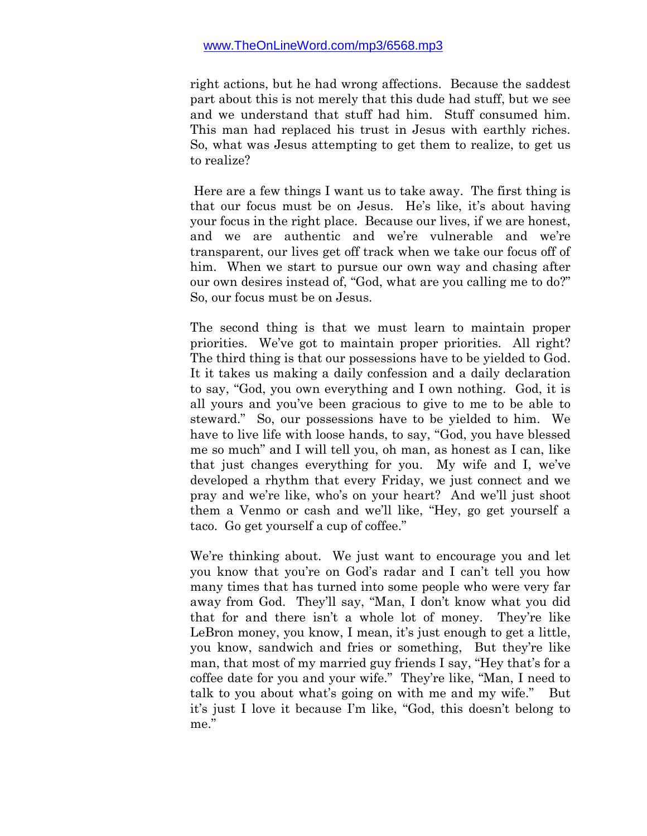right actions, but he had wrong affections. Because the saddest part about this is not merely that this dude had stuff, but we see and we understand that stuff had him. Stuff consumed him. This man had replaced his trust in Jesus with earthly riches. So, what was Jesus attempting to get them to realize, to get us to realize?

Here are a few things I want us to take away. The first thing is that our focus must be on Jesus. He's like, it's about having your focus in the right place. Because our lives, if we are honest, and we are authentic and we're vulnerable and we're transparent, our lives get off track when we take our focus off of him. When we start to pursue our own way and chasing after our own desires instead of, "God, what are you calling me to do?" So, our focus must be on Jesus.

The second thing is that we must learn to maintain proper priorities. We've got to maintain proper priorities. All right? The third thing is that our possessions have to be yielded to God. It it takes us making a daily confession and a daily declaration to say, "God, you own everything and I own nothing. God, it is all yours and you've been gracious to give to me to be able to steward." So, our possessions have to be yielded to him. We have to live life with loose hands, to say, "God, you have blessed me so much" and I will tell you, oh man, as honest as I can, like that just changes everything for you. My wife and I, we've developed a rhythm that every Friday, we just connect and we pray and we're like, who's on your heart? And we'll just shoot them a Venmo or cash and we'll like, "Hey, go get yourself a taco. Go get yourself a cup of coffee."

We're thinking about. We just want to encourage you and let you know that you're on God's radar and I can't tell you how many times that has turned into some people who were very far away from God. They'll say, "Man, I don't know what you did that for and there isn't a whole lot of money. They're like LeBron money, you know, I mean, it's just enough to get a little, you know, sandwich and fries or something, But they're like man, that most of my married guy friends I say, "Hey that's for a coffee date for you and your wife." They're like, "Man, I need to talk to you about what's going on with me and my wife." But it's just I love it because I'm like, "God, this doesn't belong to me."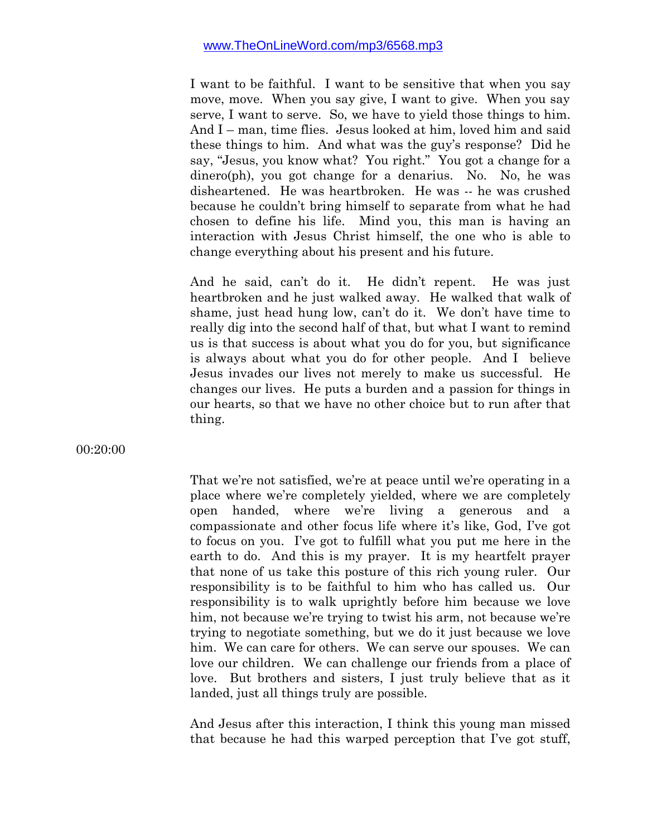I want to be faithful. I want to be sensitive that when you say move, move. When you say give, I want to give. When you say serve, I want to serve. So, we have to yield those things to him. And I – man, time flies. Jesus looked at him, loved him and said these things to him. And what was the guy's response? Did he say, "Jesus, you know what? You right." You got a change for a dinero(ph), you got change for a denarius. No. No, he was disheartened. He was heartbroken. He was -- he was crushed because he couldn't bring himself to separate from what he had chosen to define his life. Mind you, this man is having an interaction with Jesus Christ himself, the one who is able to change everything about his present and his future.

And he said, can't do it. He didn't repent. He was just heartbroken and he just walked away. He walked that walk of shame, just head hung low, can't do it. We don't have time to really dig into the second half of that, but what I want to remind us is that success is about what you do for you, but significance is always about what you do for other people. And I believe Jesus invades our lives not merely to make us successful. He changes our lives. He puts a burden and a passion for things in our hearts, so that we have no other choice but to run after that thing.

00:20:00

That we're not satisfied, we're at peace until we're operating in a place where we're completely yielded, where we are completely open handed, where we're living a generous and a compassionate and other focus life where it's like, God, I've got to focus on you. I've got to fulfill what you put me here in the earth to do. And this is my prayer. It is my heartfelt prayer that none of us take this posture of this rich young ruler. Our responsibility is to be faithful to him who has called us. Our responsibility is to walk uprightly before him because we love him, not because we're trying to twist his arm, not because we're trying to negotiate something, but we do it just because we love him. We can care for others. We can serve our spouses. We can love our children. We can challenge our friends from a place of love. But brothers and sisters, I just truly believe that as it landed, just all things truly are possible.

And Jesus after this interaction, I think this young man missed that because he had this warped perception that I've got stuff,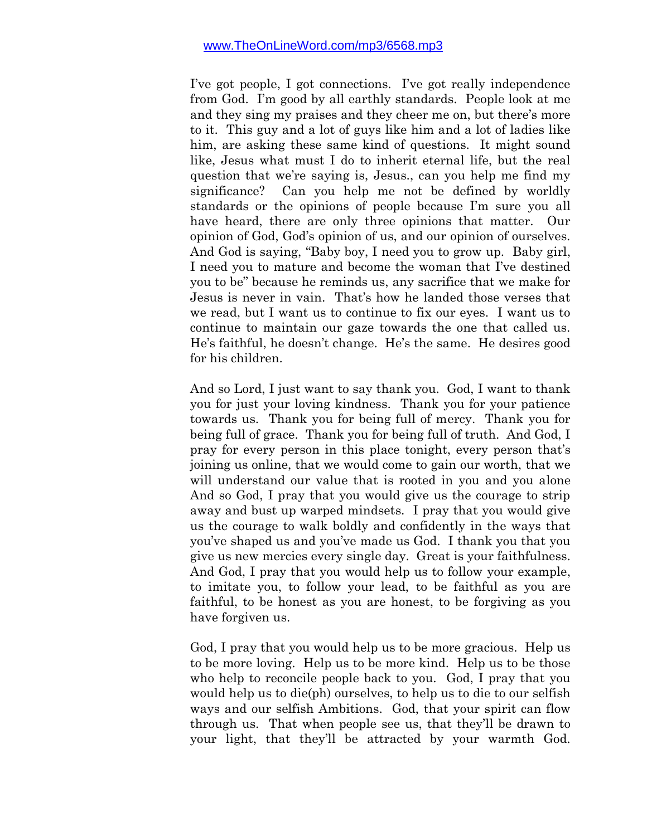I've got people, I got connections. I've got really independence from God. I'm good by all earthly standards. People look at me and they sing my praises and they cheer me on, but there's more to it. This guy and a lot of guys like him and a lot of ladies like him, are asking these same kind of questions. It might sound like, Jesus what must I do to inherit eternal life, but the real question that we're saying is, Jesus., can you help me find my significance? Can you help me not be defined by worldly standards or the opinions of people because I'm sure you all have heard, there are only three opinions that matter. Our opinion of God, God's opinion of us, and our opinion of ourselves. And God is saying, "Baby boy, I need you to grow up. Baby girl, I need you to mature and become the woman that I've destined you to be" because he reminds us, any sacrifice that we make for Jesus is never in vain. That's how he landed those verses that we read, but I want us to continue to fix our eyes. I want us to continue to maintain our gaze towards the one that called us. He's faithful, he doesn't change. He's the same. He desires good for his children.

And so Lord, I just want to say thank you. God, I want to thank you for just your loving kindness. Thank you for your patience towards us. Thank you for being full of mercy. Thank you for being full of grace. Thank you for being full of truth. And God, I pray for every person in this place tonight, every person that's joining us online, that we would come to gain our worth, that we will understand our value that is rooted in you and you alone And so God, I pray that you would give us the courage to strip away and bust up warped mindsets. I pray that you would give us the courage to walk boldly and confidently in the ways that you've shaped us and you've made us God. I thank you that you give us new mercies every single day. Great is your faithfulness. And God, I pray that you would help us to follow your example, to imitate you, to follow your lead, to be faithful as you are faithful, to be honest as you are honest, to be forgiving as you have forgiven us.

God, I pray that you would help us to be more gracious. Help us to be more loving. Help us to be more kind. Help us to be those who help to reconcile people back to you. God, I pray that you would help us to die(ph) ourselves, to help us to die to our selfish ways and our selfish Ambitions. God, that your spirit can flow through us. That when people see us, that they'll be drawn to your light, that they'll be attracted by your warmth God.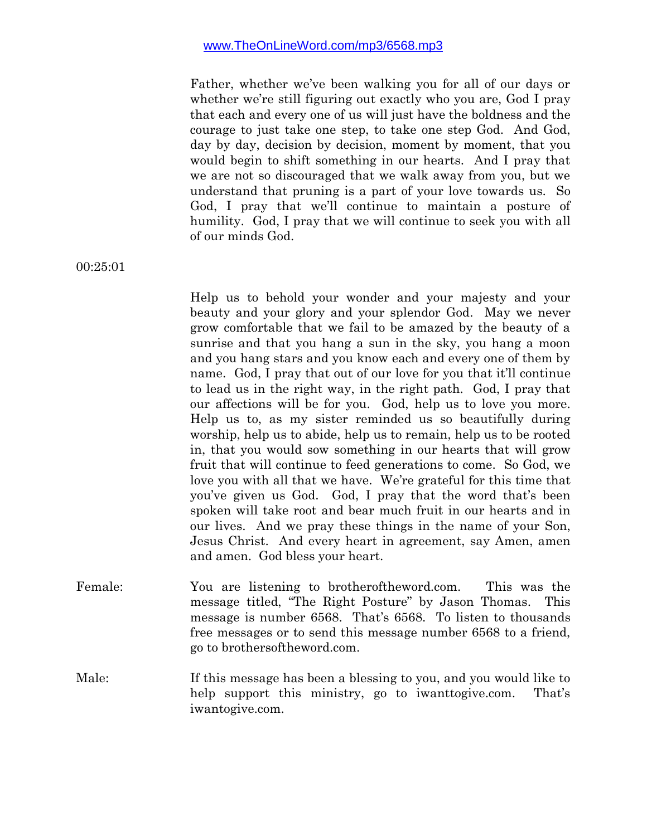Father, whether we've been walking you for all of our days or whether we're still figuring out exactly who you are, God I pray that each and every one of us will just have the boldness and the courage to just take one step, to take one step God. And God, day by day, decision by decision, moment by moment, that you would begin to shift something in our hearts. And I pray that we are not so discouraged that we walk away from you, but we understand that pruning is a part of your love towards us. So God, I pray that we'll continue to maintain a posture of humility. God, I pray that we will continue to seek you with all of our minds God.

00:25:01

Help us to behold your wonder and your majesty and your beauty and your glory and your splendor God. May we never grow comfortable that we fail to be amazed by the beauty of a sunrise and that you hang a sun in the sky, you hang a moon and you hang stars and you know each and every one of them by name. God, I pray that out of our love for you that it'll continue to lead us in the right way, in the right path. God, I pray that our affections will be for you. God, help us to love you more. Help us to, as my sister reminded us so beautifully during worship, help us to abide, help us to remain, help us to be rooted in, that you would sow something in our hearts that will grow fruit that will continue to feed generations to come. So God, we love you with all that we have. We're grateful for this time that you've given us God. God, I pray that the word that's been spoken will take root and bear much fruit in our hearts and in our lives. And we pray these things in the name of your Son, Jesus Christ. And every heart in agreement, say Amen, amen and amen. God bless your heart.

- Female: You are listening to brotheroftheword.com. This was the message titled, "The Right Posture" by Jason Thomas. This message is number 6568. That's 6568. To listen to thousands free messages or to send this message number 6568 to a friend, go to brothersoftheword.com.
- Male: If this message has been a blessing to you, and you would like to help support this ministry, go to iwanttogive.com. That's iwantogive.com.